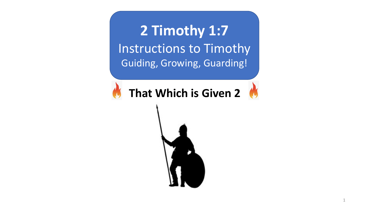**2 Timothy 1:7** Instructions to Timothy Guiding, Growing, Guarding!

**That Which is Given 2** 

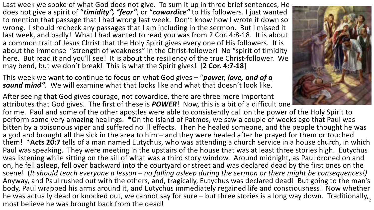Last week we spoke of what God does not give. To sum it up in three brief sentences, He does not give a spirit of "*timidity", "fear"*, or "*cowardice"* to His followers. I just wanted to mention that passage that I had wrong last week. Don't know how I wrote it down so wrong. I should recheck any passages that I am including in the sermon. But I missed it last week, and badly! What I had wanted to read you was from 2 Cor. 4:8-18. It is about a common trait of Jesus Christ that the Holy Spirit gives every one of His followers. It is about the immense "strength of weakness" in the Christ-follower! No "spirit of timidity here. But read it and you'll see! It is about the resiliency of the true Christ-follower. We may bend, but we don't break! This is what the Spirit gives! **[2 Cor. 4:7-18**]

This week we want to continue to focus on what God gives – "*power, love, and of a sound mind"*. We will examine what that looks like and what that doesn't look like.

After seeing that God gives courage, not cowardice, there are three more important attributes that God gives. The first of these is *POWER*! Now, this is a bit of a difficult one

for me. Paul and some of the other apostles were able to consistently call on the power of the Holy Spirit to perform some very amazing healings. \*On the island of Patmos, we saw a couple of weeks ago that Paul was bitten by a poisonous viper and suffered no ill effects. Then he healed someone, and the people thought he was a god and brought all the sick in the area to him – and they were healed after he prayed for them or touched them! \***Acts 20:7** tells of a man named Eutychus, who was attending a church service in a house church, in which Paul was speaking. They were meeting in the upstairs of the house that was at least three stories high. Eutychus was listening while sitting on the sill of what was a third story window. Around midnight, as Paul droned on and on, he fell asleep, fell over backward into the courtyard or street and was declared dead by the first ones on the scene! (*It should teach everyone a lesson – no falling asleep during the sermon or there might be consequences!)* Anyway, and Paul rushed out with the others, and, tragically, Eutychus was declared dead! But going to the man's body, Paul wrapped his arms around it, and Eutychus immediately regained life and consciousness! Now whether he was actually dead or knocked out, we cannot say for sure – but three stories is a long way down. Traditionally, most believe he was brought back from the dead! <sup>2</sup>

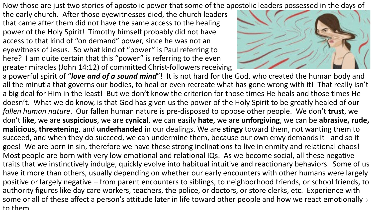Now those are just two stories of apostolic power that some of the apostolic leaders possessed in the days of

the early church. After those eyewitnesses died, the church leaders that came after them did not have the same access to the healing power of the Holy Spirit! Timothy himself probably did not have access to that kind of "on demand" power, since he was not an eyewitness of Jesus. So what kind of "power" is Paul referring to here? I am quite certain that this "power" is referring to the even greater miracles (John 14:12) of committed Christ-followers receiving



a powerful spirit of "*love and of a sound mind*"! It is not hard for the God, who created the human body and all the minutia that governs our bodies, to heal or even recreate what has gone wrong with it! That really isn't a big deal for Him in the least! But we don't know the criterion for those times He heals and those times He doesn't. What we do know, is that God has given us the power of the Holy Spirit to be greatly healed of our *fallen human nature*. Our fallen human nature is pre-disposed to oppose other people. We don't **trust**, we don't **like**, we are **suspicious**, we are **cynical**, we can easily **hate**, we are **unforgiving**, we can be **abrasive, rude, malicious, threatening**, and **underhanded** in our dealings. We are **stingy** toward them, not wanting them to succeed, and when they do succeed, we can undermine them, because our own envy demands it - and so it goes! We are born in sin, therefore we have these strong inclinations to live in enmity and relational chaos! Most people are born with very low emotional and relational IQs. As we become social, all these negative traits that we instinctively indulge, quickly evolve into habitual intuitive and reactionary behaviors. Some of us have it more than others, usually depending on whether our early encounters with other humans were largely positive or largely negative – from parent encounters to siblings, to neighborhood friends, or school friends, to authority figures like day care workers, teachers, the police, or doctors, or store clerks, etc. Experience with some or all of these affect a person's attitude later in life toward other people and how we react emotionally 3 to them.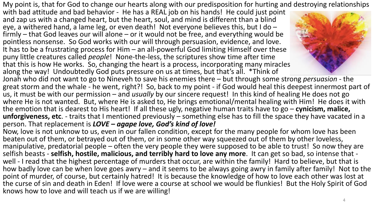My point is, that for God to change our hearts along with our predisposition for hurting and destroying relationships

with bad attitude and bad behavior - He has a REAL job on his hands! He could just point and zap us with a changed heart, but the heart, soul, and mind is different than a blind eye, a withered hand, a lame leg, or even death! Not everyone believes this, but I do –<br>firmly – that God leaves our will alone – or it would not be free, and everything would be pointless nonsense. So God works with our will through persuasion, evidence, and love. It has to be a frustrating process for Him – an all-powerful God limiting Himself over these puny little creatures called *people*! None-the-less, the scriptures show time after time that this is how He works. So, changing the heart is a process, incorporating many miracles along the way! Undoubtedly God puts pressure on us at times, but that's all. \*Think of



Jonah who did not want to go to Nineveh to save his enemies there – but through some strong *persuasion* - the great storm and the whale - he went, right?! So, back to my point - if God would heal this deepest innermost part of us, it must be with our permission – and *usually* by our sincere request! In this kind of healing He does not go where He is not wanted. But, where He is asked to, He brings emotional/mental healing with Him! He does it with the emotion that is dearest to His heart! If all these ugly, negative human traits have to go – **cynicism, malice, unforgiveness, etc**. - traits that I mentioned previously – something else has to fill the space they have vacated in a person. That replacement is *LOVE – agape love, God's kind of love!*

Now, love is not unknow to us, even in our fallen condition, except for the many people for whom love has been beaten out of them, or betrayed out of them, or in some other way squeezed out of them by other loveless, manipulative, predatorial people – often the very people they were supposed to be able to trust! So now they are selfish beasts - **selfish, hostile, malicious, and terribly hard to love any more**. It can get so bad, so intense that well - I read that the highest percentage of murders that occur, are within the family! Hard to believe, but that is how badly love can be when love goes awry – and it seems to be always going awry in family after family! Not to the point of murder, of course, but certainly hatred! It is because the knowledge of how to love each other was lost at the curse of sin and death in Eden! If love were a course at school we would be flunkies! But the Holy Spirit of God knows how to love and will teach us if we are willing!